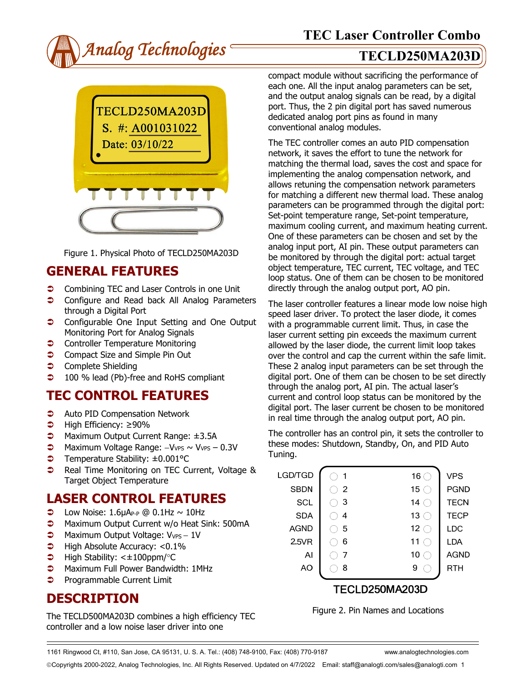



Figure 1. Physical Photo of TECLD250MA203D

### **GENERAL FEATURES**

- **◯** Combining TEC and Laser Controls in one Unit
- **Configure and Read back All Analog Parameters** through a Digital Port
- **Configurable One Input Setting and One Output** Monitoring Port for Analog Signals
- **Controller Temperature Monitoring**
- **Compact Size and Simple Pin Out**
- **Complete Shielding**
- **100** % lead (Pb)-free and RoHS compliant

# **TEC CONTROL FEATURES**

- **C** Auto PID Compensation Network
- High Efficiency: ≥90%
- Maximum Output Current Range: ±3.5A
- → Maximum Voltage Range: -VvPs ~ VvPs 0.3V
- Temperature Stability: ±0.001°C
- **C** Real Time Monitoring on TEC Current, Voltage & Target Object Temperature

### **LASER CONTROL FEATURES**

- $\bullet$  Low Noise: 1.6µA<sub>P-P</sub> @ 0.1Hz ~ 10Hz
- **C** Maximum Output Current w/o Heat Sink: 500mA
- → Maximum Output Voltage: V<sub>VPS</sub> 1V
- $\blacktriangleright$  High Absolute Accuracy: <0.1%
- $\blacktriangleright$  High Stability: < $\pm$ 100ppm/°C
- $\bullet$  Maximum Full Power Bandwidth: 1MHz
- **Programmable Current Limit**

## **DESCRIPTION**

The TECLD500MA203D combines a high efficiency TEC controller and a low noise laser driver into one

compact module without sacrificing the performance of each one. All the input analog parameters can be set, and the output analog signals can be read, by a digital port. Thus, the 2 pin digital port has saved numerous dedicated analog port pins as found in many conventional analog modules.

The TEC controller comes an auto PID compensation network, it saves the effort to tune the network for matching the thermal load, saves the cost and space for implementing the analog compensation network, and allows retuning the compensation network parameters for matching a different new thermal load. These analog parameters can be programmed through the digital port: Set-point temperature range, Set-point temperature, maximum cooling current, and maximum heating current. One of these parameters can be chosen and set by the analog input port, AI pin. These output parameters can be monitored by through the digital port: actual target object temperature, TEC current, TEC voltage, and TEC loop status. One of them can be chosen to be monitored directly through the analog output port, AO pin.

The laser controller features a linear mode low noise high speed laser driver. To protect the laser diode, it comes with a programmable current limit. Thus, in case the laser current setting pin exceeds the maximum current allowed by the laser diode, the current limit loop takes over the control and cap the current within the safe limit. These 2 analog input parameters can be set through the digital port. One of them can be chosen to be set directly through the analog port, AI pin. The actual laser's current and control loop status can be monitored by the digital port. The laser current be chosen to be monitored in real time through the analog output port, AO pin.

The controller has an control pin, it sets the controller to these modes: Shutdown, Standby, On, and PID Auto Tuning.

| LGD/TGD     | -1             | 16 $\subset$         | <b>VPS</b>  |  |
|-------------|----------------|----------------------|-------------|--|
| <b>SBDN</b> | $\overline{2}$ | 15 $\subset$         | <b>PGND</b> |  |
| <b>SCL</b>  | -3             | 14<br>€              | <b>TECN</b> |  |
| <b>SDA</b>  | 4              | 13 $\subset$         | <b>TECP</b> |  |
| <b>AGND</b> | 5              | 12 <sub>1</sub><br>€ | LDC         |  |
| 2.5VR       | 6              | 11                   | LDA         |  |
| Al          | 7              | 10                   | <b>AGND</b> |  |
| AO          | 8              | 9                    | RTH         |  |
|             |                | TECLD250MA203D       |             |  |
|             |                |                      |             |  |

Figure 2. Pin Names and Locations

1161 Ringwood Ct, #110, San Jose, CA 95131, U. S. A. Tel.: (408) 748-9100, Fax: (408) 770-9187 www.analogtechnologies.com

Copyrights 2000-2022, Analog Technologies, Inc. All Rights Reserved. Updated on 4/7/2022 Email: staff@analogti.com/sales@analogti.com 1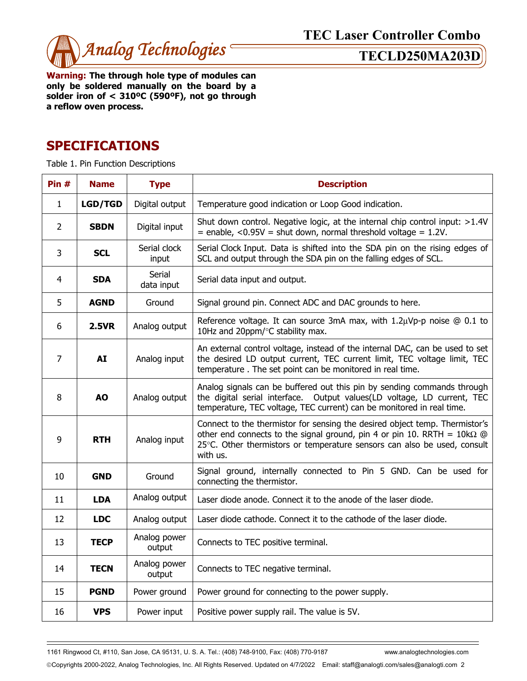

**Warning: The through hole type of modules can only be soldered manually on the board by a solder iron of < 310ºC (590ºF), not go through a reflow oven process.**

## **SPECIFICATIONS**

Table 1. Pin Function Descriptions

| Pin#           | <b>Name</b>    | <b>Type</b>            | <b>Description</b>                                                                                                                                                                                                                                    |  |  |
|----------------|----------------|------------------------|-------------------------------------------------------------------------------------------------------------------------------------------------------------------------------------------------------------------------------------------------------|--|--|
| $\mathbf{1}$   | <b>LGD/TGD</b> | Digital output         | Temperature good indication or Loop Good indication.                                                                                                                                                                                                  |  |  |
| $\overline{2}$ | <b>SBDN</b>    | Digital input          | Shut down control. Negative logic, at the internal chip control input: $>1.4V$<br>$=$ enable, <0.95V = shut down, normal threshold voltage = 1.2V.                                                                                                    |  |  |
| 3              | <b>SCL</b>     | Serial clock<br>input  | Serial Clock Input. Data is shifted into the SDA pin on the rising edges of<br>SCL and output through the SDA pin on the falling edges of SCL.                                                                                                        |  |  |
| $\overline{4}$ | <b>SDA</b>     | Serial<br>data input   | Serial data input and output.                                                                                                                                                                                                                         |  |  |
| 5              | <b>AGND</b>    | Ground                 | Signal ground pin. Connect ADC and DAC grounds to here.                                                                                                                                                                                               |  |  |
| 6              | <b>2.5VR</b>   | Analog output          | Reference voltage. It can source 3mA max, with $1.2\mu Vp-p$ noise $@0.1$ to<br>10Hz and 20ppm/°C stability max.                                                                                                                                      |  |  |
| $\overline{7}$ | AI             | Analog input           | An external control voltage, instead of the internal DAC, can be used to set<br>the desired LD output current, TEC current limit, TEC voltage limit, TEC<br>temperature. The set point can be monitored in real time.                                 |  |  |
| 8              | <b>AO</b>      | Analog output          | Analog signals can be buffered out this pin by sending commands through<br>the digital serial interface. Output values(LD voltage, LD current, TEC<br>temperature, TEC voltage, TEC current) can be monitored in real time.                           |  |  |
| 9              | <b>RTH</b>     | Analog input           | Connect to the thermistor for sensing the desired object temp. Thermistor's<br>other end connects to the signal ground, pin 4 or pin 10. RRTH = $10k\Omega$ @<br>25°C. Other thermistors or temperature sensors can also be used, consult<br>with us. |  |  |
| 10             | <b>GND</b>     | Ground                 | Signal ground, internally connected to Pin 5 GND. Can be used for<br>connecting the thermistor.                                                                                                                                                       |  |  |
| 11             | <b>LDA</b>     | Analog output          | Laser diode anode. Connect it to the anode of the laser diode.                                                                                                                                                                                        |  |  |
| 12             | <b>LDC</b>     | Analog output          | Laser diode cathode. Connect it to the cathode of the laser diode.                                                                                                                                                                                    |  |  |
| 13             | <b>TECP</b>    | Analog power<br>output | Connects to TEC positive terminal.                                                                                                                                                                                                                    |  |  |
| 14             | <b>TECN</b>    | Analog power<br>output | Connects to TEC negative terminal.                                                                                                                                                                                                                    |  |  |
| 15             | <b>PGND</b>    | Power ground           | Power ground for connecting to the power supply.                                                                                                                                                                                                      |  |  |
| 16             | <b>VPS</b>     | Power input            | Positive power supply rail. The value is 5V.                                                                                                                                                                                                          |  |  |

1161 Ringwood Ct, #110, San Jose, CA 95131, U. S. A. Tel.: (408) 748-9100, Fax: (408) 770-9187 www.analogtechnologies.com

Copyrights 2000-2022, Analog Technologies, Inc. All Rights Reserved. Updated on 4/7/2022 Email: staff@analogti.com/sales@analogti.com 2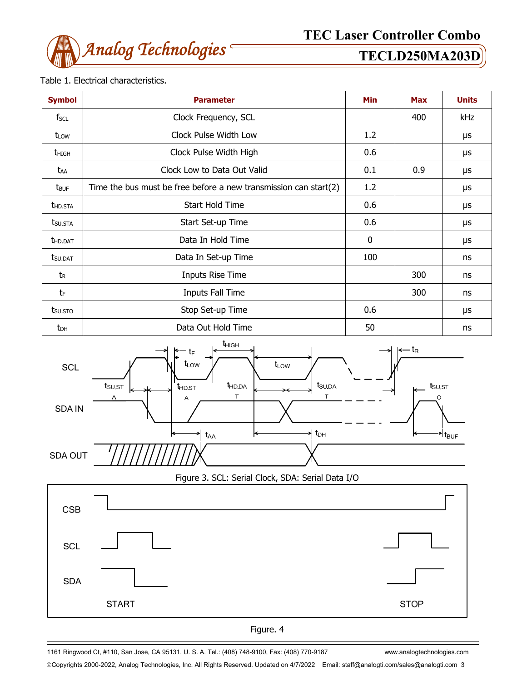

### Table 1. Electrical characteristics.

| <b>Symbol</b>           | <b>Parameter</b>                                                    |              | <b>Max</b> | <b>Units</b> |
|-------------------------|---------------------------------------------------------------------|--------------|------------|--------------|
| fscl                    | Clock Frequency, SCL                                                |              | 400        | kHz          |
| t <sub>LOW</sub>        | Clock Pulse Width Low                                               | 1.2          |            | μs           |
| <b>t</b> high           | Clock Pulse Width High                                              | 0.6          |            | μs           |
| taa                     | Clock Low to Data Out Valid                                         | 0.1          | 0.9        | μs           |
| <b>t</b> <sub>BUF</sub> | Time the bus must be free before a new transmission can start $(2)$ | 1.2          |            | μs           |
| <b>THD.STA</b>          | Start Hold Time                                                     | 0.6          |            | μs           |
| t <sub>su.Sta</sub>     | Start Set-up Time                                                   | 0.6          |            | μs           |
| <b>t</b> hd.dat         | Data In Hold Time                                                   | $\mathbf{0}$ |            | μs           |
| tsu.dat                 | Data In Set-up Time                                                 | 100          |            | ns           |
| tr                      | Inputs Rise Time                                                    |              | 300        | ns           |
| tF                      | Inputs Fall Time                                                    |              | 300        | ns           |
| tsu.sto                 | Stop Set-up Time                                                    | 0.6          |            | μs           |
| $t_{DH}$                | Data Out Hold Time                                                  | 50           |            | ns           |



Figure 3. SCL: Serial Clock, SDA: Serial Data I/O





1161 Ringwood Ct, #110, San Jose, CA 95131, U. S. A. Tel.: (408) 748-9100, Fax: (408) 770-9187 www.analogtechnologies.com

Copyrights 2000-2022, Analog Technologies, Inc. All Rights Reserved. Updated on 4/7/2022 Email: staff@analogti.com/sales@analogti.com 3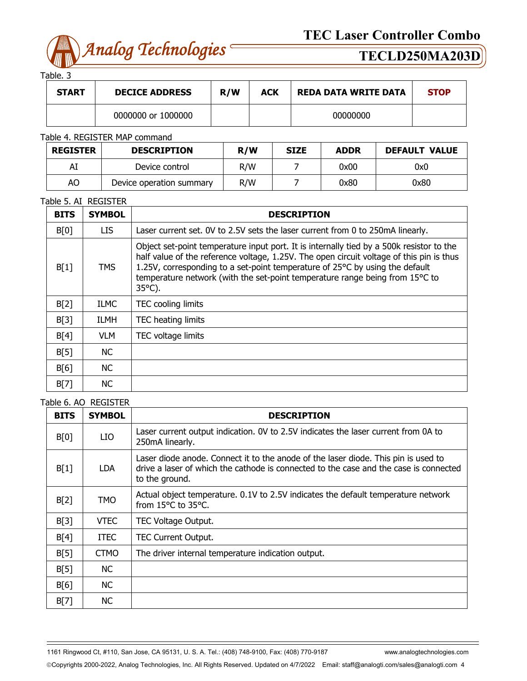

Table. 3

| <b>START</b> | <b>DECICE ADDRESS</b> | R/W | <b>ACK</b> | <b>REDA DATA WRITE DATA</b> | <b>STOP</b> |
|--------------|-----------------------|-----|------------|-----------------------------|-------------|
|              | 0000000 or 1000000    |     |            | 00000000                    |             |

### Table 4. REGISTER MAP command

| <b>REGISTER</b>                | <b>DESCRIPTION</b> | R/W | <b>SIZE</b> | <b>ADDR</b> | <b>DEFAULT VALUE</b> |
|--------------------------------|--------------------|-----|-------------|-------------|----------------------|
| Al                             | Device control     | R/W |             | 0x00        | 0x0                  |
| AO<br>Device operation summary |                    | R/W |             | 0x80        | 0x80                 |

### Table 5. AI REGISTER

| <b>BITS</b> | <b>SYMBOL</b> | <b>DESCRIPTION</b>                                                                                                                                                                                                                                                                                                                                                       |
|-------------|---------------|--------------------------------------------------------------------------------------------------------------------------------------------------------------------------------------------------------------------------------------------------------------------------------------------------------------------------------------------------------------------------|
| B[0]        | LIS.          | Laser current set. OV to 2.5V sets the laser current from 0 to 250mA linearly.                                                                                                                                                                                                                                                                                           |
| B[1]        | <b>TMS</b>    | Object set-point temperature input port. It is internally tied by a 500k resistor to the<br>half value of the reference voltage, 1.25V. The open circuit voltage of this pin is thus<br>1.25V, corresponding to a set-point temperature of 25°C by using the default<br>temperature network (with the set-point temperature range being from 15°C to<br>$35^{\circ}$ C). |
| B[2]        | <b>ILMC</b>   | TEC cooling limits                                                                                                                                                                                                                                                                                                                                                       |
| B[3]        | ILMH          | TEC heating limits                                                                                                                                                                                                                                                                                                                                                       |
| B[4]        | <b>VLM</b>    | TEC voltage limits                                                                                                                                                                                                                                                                                                                                                       |
| B[5]        | NC.           |                                                                                                                                                                                                                                                                                                                                                                          |
| B[6]        | NC.           |                                                                                                                                                                                                                                                                                                                                                                          |
| B[7]        | NC.           |                                                                                                                                                                                                                                                                                                                                                                          |

### Table 6. AO REGISTER

| <b>BITS</b> | <b>SYMBOL</b> | <b>DESCRIPTION</b>                                                                                                                                                                            |
|-------------|---------------|-----------------------------------------------------------------------------------------------------------------------------------------------------------------------------------------------|
| B[0]        | LIO           | Laser current output indication. OV to 2.5V indicates the laser current from 0A to<br>250mA linearly.                                                                                         |
| B[1]        | LDA.          | Laser diode anode. Connect it to the anode of the laser diode. This pin is used to<br>drive a laser of which the cathode is connected to the case and the case is connected<br>to the ground. |
| B[2]        | <b>TMO</b>    | Actual object temperature. 0.1V to 2.5V indicates the default temperature network<br>from 15°C to 35°C.                                                                                       |
| B[3]        | <b>VTEC</b>   | TEC Voltage Output.                                                                                                                                                                           |
| B[4]        | <b>ITEC</b>   | <b>TEC Current Output.</b>                                                                                                                                                                    |
| B[5]        | <b>CTMO</b>   | The driver internal temperature indication output.                                                                                                                                            |
| B[5]        | <b>NC</b>     |                                                                                                                                                                                               |
| B[6]        | <b>NC</b>     |                                                                                                                                                                                               |
| B[7]        | NC.           |                                                                                                                                                                                               |

1161 Ringwood Ct, #110, San Jose, CA 95131, U. S. A. Tel.: (408) 748-9100, Fax: (408) 770-9187 www.analogtechnologies.com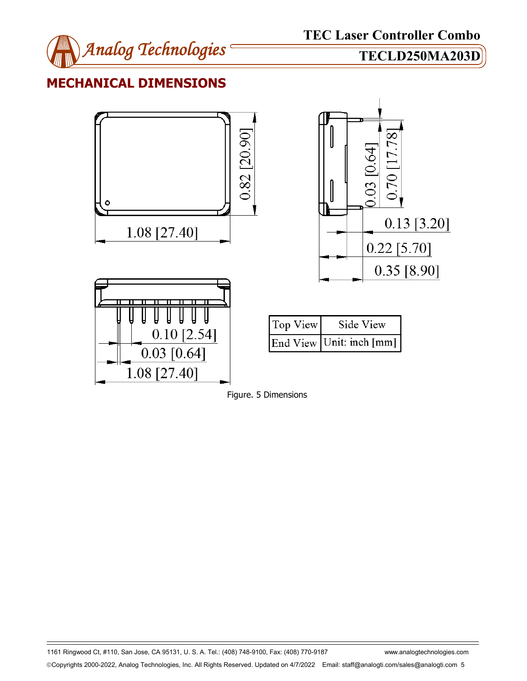

## **MECHANICAL DIMENSIONS**





1161 Ringwood Ct, #110, San Jose, CA 95131, U. S. A. Tel.: (408) 748-9100, Fax: (408) 770-9187 www.analogtechnologies.com Copyrights 2000-2022, Analog Technologies, Inc. All Rights Reserved. Updated on 4/7/2022 Email: staff@analogti.com/sales@analogti.com 5